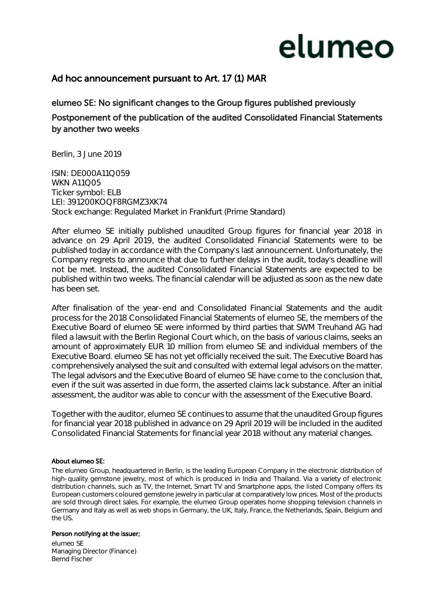## elumeo

### Ad hoc announcement pursuant to Art. 17 (1) MAR

### elumeo SE: No significant changes to the Group figures published previously Postponement of the publication of the audited Consolidated Financial Statements by another two weeks

Berlin, 3 June 2019

ISIN: DE000A11Q059 **WKN A11005** Ticker symbol: ELB LEI: 391200KOQF8RGMZ3XK74 Stock exchange: Regulated Market in Frankfurt (Prime Standard)

After elumeo SE initially published unaudited Group figures for financial year 2018 in advance on 29 April 2019, the audited Consolidated Financial Statements were to be published today in accordance with the Company's last announcement. Unfortunately, the Company regrets to announce that due to further delays in the audit, today's deadline will not be met. Instead, the audited Consolidated Financial Statements are expected to be published within two weeks. The financial calendar will be adjusted as soon as the new date has been set.

After finalisation of the year-end and Consolidated Financial Statements and the audit process for the 2018 Consolidated Financial Statements of elumeo SE, the members of the Executive Board of elumeo SE were informed by third parties that SWM Treuhand AG had filed a lawsuit with the Berlin Regional Court which, on the basis of various claims, seeks an amount of approximately EUR 10 million from elumeo SE and individual members of the Executive Board. elumeo SE has not yet officially received the suit. The Executive Board has comprehensively analysed the suit and consulted with external legal advisors on the matter. The legal advisors and the Executive Board of elumeo SE have come to the conclusion that, even if the suit was asserted in due form, the asserted claims lack substance. After an initial assessment, the auditor was able to concur with the assessment of the Executive Board.

Together with the auditor, elumeo SE continues to assume that the unaudited Group figures for financial year 2018 published in advance on 29 April 2019 will be included in the audited Consolidated Financial Statements for financial year 2018 without any material changes.

#### About elumeo SE:

The elumeo Group, headquartered in Berlin, is the leading European Company in the electronic distribution of high-quality gemstone jewelry, most of which is produced in India and Thailand. Via a variety of electronic distribution channels, such as TV, the Internet, Smart TV and Smartphone apps, the listed Company offers its European customers coloured gemstone jewelry in particular at comparatively low prices. Most of the products are sold through direct sales. For example, the elumeo Group operates home shopping television channels in Germany and Italy as well as web shops in Germany, the UK, Italy, France, the Netherlands, Spain, Belgium and the US.

#### Person notifying at the issuer;

elumeo SE Managing Director (Finance) Bernd Fischer